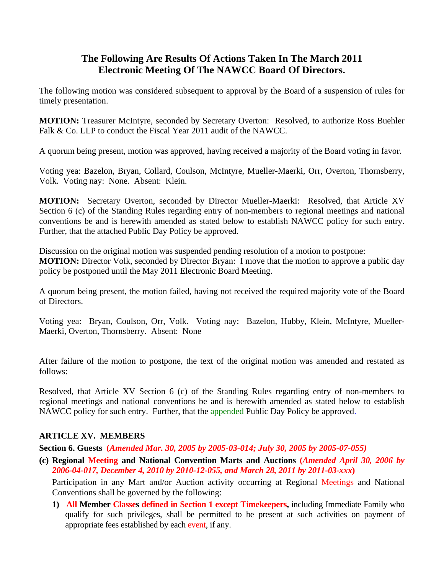# **The Following Are Results Of Actions Taken In The March 2011 Electronic Meeting Of The NAWCC Board Of Directors.**

The following motion was considered subsequent to approval by the Board of a suspension of rules for timely presentation.

**MOTION:** Treasurer McIntyre, seconded by Secretary Overton: Resolved, to authorize Ross Buehler Falk & Co. LLP to conduct the Fiscal Year 2011 audit of the NAWCC.

A quorum being present, motion was approved, having received a majority of the Board voting in favor.

Voting yea: Bazelon, Bryan, Collard, Coulson, McIntyre, Mueller-Maerki, Orr, Overton, Thornsberry, Volk. Voting nay: None. Absent: Klein.

**MOTION:** Secretary Overton, seconded by Director Mueller-Maerki: Resolved, that Article XV Section 6 (c) of the Standing Rules regarding entry of non-members to regional meetings and national conventions be and is herewith amended as stated below to establish NAWCC policy for such entry. Further, that the attached Public Day Policy be approved.

Discussion on the original motion was suspended pending resolution of a motion to postpone: **MOTION:** Director Volk, seconded by Director Bryan: I move that the motion to approve a public day policy be postponed until the May 2011 Electronic Board Meeting.

A quorum being present, the motion failed, having not received the required majority vote of the Board of Directors.

Voting yea: Bryan, Coulson, Orr, Volk. Voting nay: Bazelon, Hubby, Klein, McIntyre, Mueller-Maerki, Overton, Thornsberry. Absent: None

After failure of the motion to postpone, the text of the original motion was amended and restated as follows:

Resolved, that Article XV Section 6 (c) of the Standing Rules regarding entry of non-members to regional meetings and national conventions be and is herewith amended as stated below to establish NAWCC policy for such entry. Further, that the appended Public Day Policy be approved.

## **ARTICLE XV. MEMBERS**

**Section 6. Guests (***Amended Mar. 30, 2005 by 2005-03-014; July 30, 2005 by 2005-07-055)*

**(c) Regional Meeting and National Convention Marts and Auctions (***Amended April 30, 2006 by 2006-04-017, December 4, 2010 by 2010-12-055, and March 28, 2011 by 2011-03-xxx***)** 

Participation in any Mart and/or Auction activity occurring at Regional Meetings and National Conventions shall be governed by the following:

**1) All Member Classes defined in Section 1 except Timekeepers,** including Immediate Family who qualify for such privileges, shall be permitted to be present at such activities on payment of appropriate fees established by each event, if any.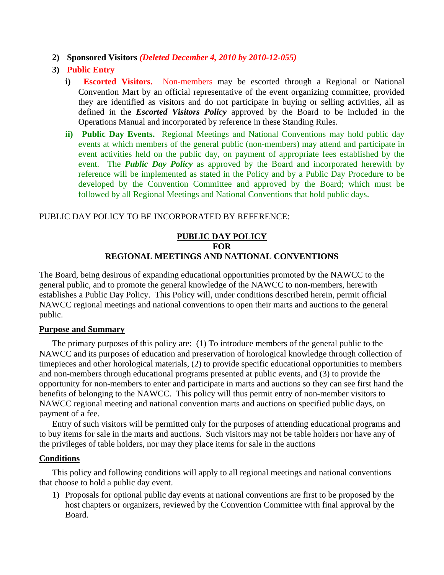- **2) Sponsored Visitors** *(Deleted December 4, 2010 by 2010-12-055)*
- **3) Public Entry**
	- **i) Escorted Visitors.** Non-members may be escorted through a Regional or National Convention Mart by an official representative of the event organizing committee, provided they are identified as visitors and do not participate in buying or selling activities, all as defined in the *Escorted Visitors Policy* approved by the Board to be included in the Operations Manual and incorporated by reference in these Standing Rules.
	- **ii) Public Day Events.** Regional Meetings and National Conventions may hold public day events at which members of the general public (non-members) may attend and participate in event activities held on the public day, on payment of appropriate fees established by the event. The *Public Day Policy* as approved by the Board and incorporated herewith by reference will be implemented as stated in the Policy and by a Public Day Procedure to be developed by the Convention Committee and approved by the Board; which must be followed by all Regional Meetings and National Conventions that hold public days.

### PUBLIC DAY POLICY TO BE INCORPORATED BY REFERENCE:

### **PUBLIC DAY POLICY FOR REGIONAL MEETINGS AND NATIONAL CONVENTIONS**

The Board, being desirous of expanding educational opportunities promoted by the NAWCC to the general public, and to promote the general knowledge of the NAWCC to non-members, herewith establishes a Public Day Policy. This Policy will, under conditions described herein, permit official NAWCC regional meetings and national conventions to open their marts and auctions to the general public.

#### **Purpose and Summary**

The primary purposes of this policy are: (1) To introduce members of the general public to the NAWCC and its purposes of education and preservation of horological knowledge through collection of timepieces and other horological materials, (2) to provide specific educational opportunities to members and non-members through educational programs presented at public events, and (3) to provide the opportunity for non-members to enter and participate in marts and auctions so they can see first hand the benefits of belonging to the NAWCC. This policy will thus permit entry of non-member visitors to NAWCC regional meeting and national convention marts and auctions on specified public days, on payment of a fee.

Entry of such visitors will be permitted only for the purposes of attending educational programs and to buy items for sale in the marts and auctions. Such visitors may not be table holders nor have any of the privileges of table holders, nor may they place items for sale in the auctions

### **Conditions**

This policy and following conditions will apply to all regional meetings and national conventions that choose to hold a public day event.

1) Proposals for optional public day events at national conventions are first to be proposed by the host chapters or organizers, reviewed by the Convention Committee with final approval by the Board.